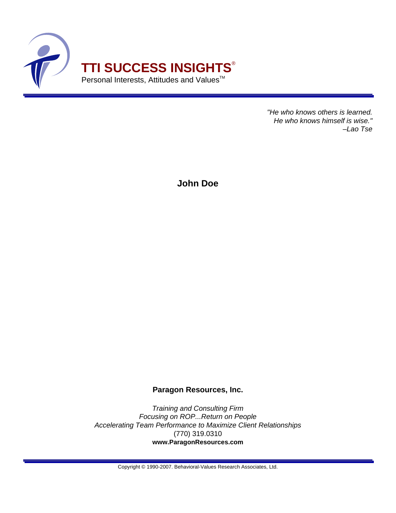

"He who knows others is learned. He who knows himself is wise." –Lao Tse

**John Doe**

## **Paragon Resources, Inc.**

Training and Consulting Firm Focusing on ROP...Return on People Accelerating Team Performance to Maximize Client Relationships (770) 319.0310 **www.ParagonResources.com**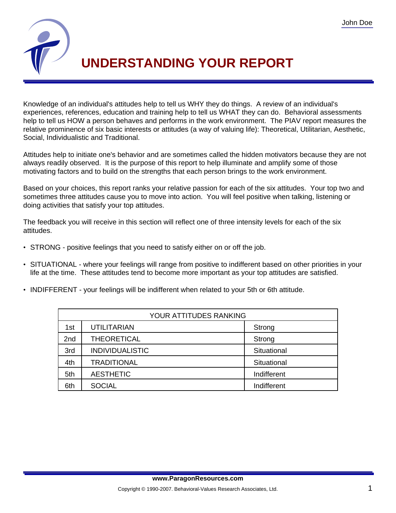

## **UNDERSTANDING YOUR REPORT**

Knowledge of an individual's attitudes help to tell us WHY they do things. A review of an individual's experiences, references, education and training help to tell us WHAT they can do. Behavioral assessments help to tell us HOW a person behaves and performs in the work environment. The PIAV report measures the relative prominence of six basic interests or attitudes (a way of valuing life): Theoretical, Utilitarian, Aesthetic, Social, Individualistic and Traditional.

Attitudes help to initiate one's behavior and are sometimes called the hidden motivators because they are not always readily observed. It is the purpose of this report to help illuminate and amplify some of those motivating factors and to build on the strengths that each person brings to the work environment.

Based on your choices, this report ranks your relative passion for each of the six attitudes. Your top two and sometimes three attitudes cause you to move into action. You will feel positive when talking, listening or doing activities that satisfy your top attitudes.

The feedback you will receive in this section will reflect one of three intensity levels for each of the six attitudes.

- STRONG positive feelings that you need to satisfy either on or off the job.
- SITUATIONAL where your feelings will range from positive to indifferent based on other priorities in your life at the time. These attitudes tend to become more important as your top attitudes are satisfied.
- INDIFFERENT your feelings will be indifferent when related to your 5th or 6th attitude.

| YOUR ATTITUDES RANKING |                        |             |  |
|------------------------|------------------------|-------------|--|
| 1st                    | <b>UTILITARIAN</b>     | Strong      |  |
| 2nd                    | <b>THEORETICAL</b>     | Strong      |  |
| 3rd                    | <b>INDIVIDUALISTIC</b> | Situational |  |
| 4th                    | <b>TRADITIONAL</b>     | Situational |  |
| 5th                    | <b>AESTHETIC</b>       | Indifferent |  |
| 6th                    | <b>SOCIAL</b>          | Indifferent |  |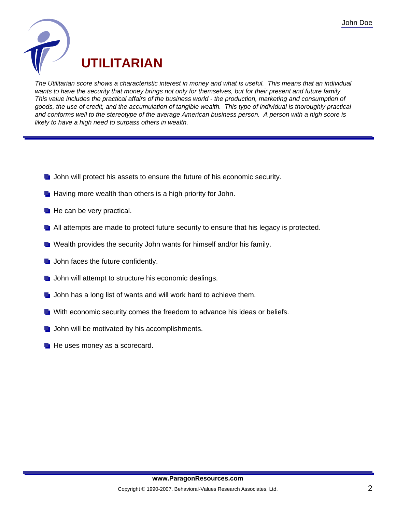

The Utilitarian score shows a characteristic interest in money and what is useful. This means that an individual wants to have the security that money brings not only for themselves, but for their present and future family. This value includes the practical affairs of the business world - the production, marketing and consumption of goods, the use of credit, and the accumulation of tangible wealth. This type of individual is thoroughly practical and conforms well to the stereotype of the average American business person. A person with a high score is likely to have a high need to surpass others in wealth.

- **John will protect his assets to ensure the future of his economic security.**
- $\blacksquare$  Having more wealth than others is a high priority for John.
- $\blacksquare$  He can be very practical.
- **All attempts are made to protect future security to ensure that his legacy is protected.**
- **T** Wealth provides the security John wants for himself and/or his family.
- $\blacksquare$  John faces the future confidently.
- $\blacksquare$  John will attempt to structure his economic dealings.
- **John has a long list of wants and will work hard to achieve them.**
- **With economic security comes the freedom to advance his ideas or beliefs.**
- $\blacksquare$  John will be motivated by his accomplishments.
- $\blacksquare$  He uses money as a scorecard.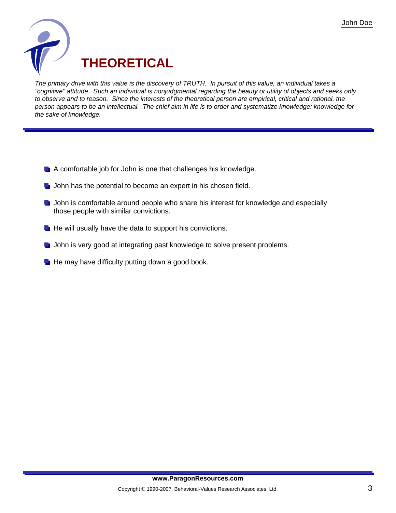

The primary drive with this value is the discovery of TRUTH. In pursuit of this value, an individual takes a "cognitive" attitude. Such an individual is nonjudgmental regarding the beauty or utility of objects and seeks only to observe and to reason. Since the interests of the theoretical person are empirical, critical and rational, the person appears to be an intellectual. The chief aim in life is to order and systematize knowledge: knowledge for the sake of knowledge.

- **A** comfortable job for John is one that challenges his knowledge.
- **John has the potential to become an expert in his chosen field.**
- **D** John is comfortable around people who share his interest for knowledge and especially those people with similar convictions.
- $\blacksquare$  He will usually have the data to support his convictions.
- **John is very good at integrating past knowledge to solve present problems.**
- $\blacksquare$  He may have difficulty putting down a good book.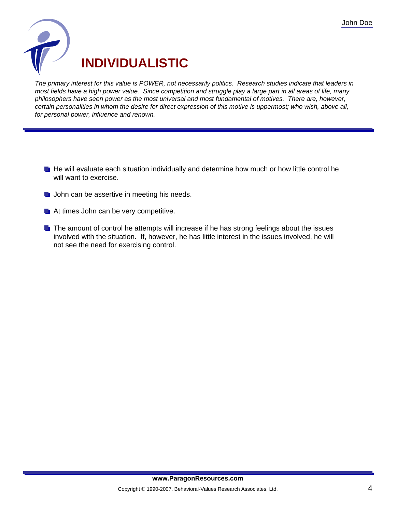

The primary interest for this value is POWER, not necessarily politics. Research studies indicate that leaders in most fields have a high power value. Since competition and struggle play a large part in all areas of life, many philosophers have seen power as the most universal and most fundamental of motives. There are, however, certain personalities in whom the desire for direct expression of this motive is uppermost; who wish, above all, for personal power, influence and renown.

- **He** Will evaluate each situation individually and determine how much or how little control he will want to exercise.
- $\blacksquare$  John can be assertive in meeting his needs.
- At times John can be very competitive.
- **The amount of control he attempts will increase if he has strong feelings about the issues** involved with the situation. If, however, he has little interest in the issues involved, he will not see the need for exercising control.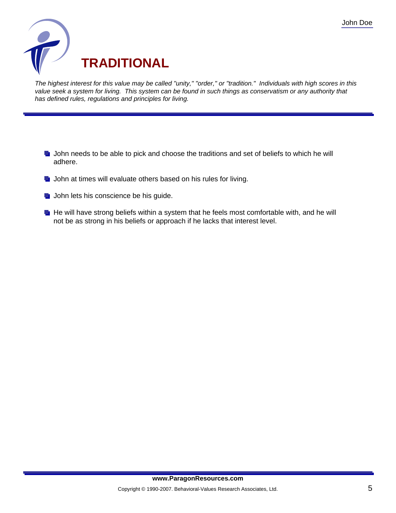

The highest interest for this value may be called "unity," "order," or "tradition." Individuals with high scores in this value seek a system for living. This system can be found in such things as conservatism or any authority that has defined rules, regulations and principles for living.

- **John needs to be able to pick and choose the traditions and set of beliefs to which he will** adhere.
- **John at times will evaluate others based on his rules for living.**
- **John lets his conscience be his guide.**
- $\blacksquare$  He will have strong beliefs within a system that he feels most comfortable with, and he will not be as strong in his beliefs or approach if he lacks that interest level.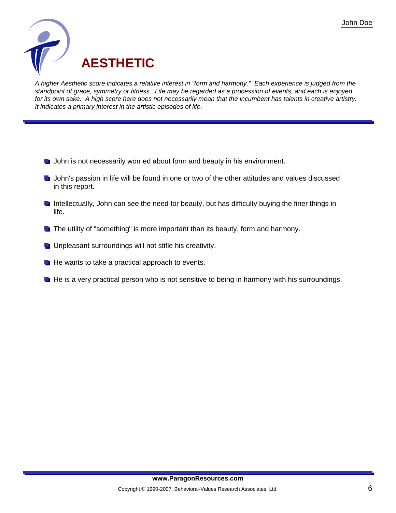

A higher Aesthetic score indicates a relative interest in "form and harmony." Each experience is judged from the standpoint of grace, symmetry or fitness. Life may be regarded as a procession of events, and each is enjoyed for its own sake. A high score here does not necessarily mean that the incumbent has talents in creative artistry. It indicates a primary interest in the artistic episodes of life.

- **J** John is not necessarily worried about form and beauty in his environment.
- **John's passion in life will be found in one or two of the other attitudes and values discussed** in this report.
- Intellectually, John can see the need for beauty, but has difficulty buying the finer things in life.
- **The utility of "something" is more important than its beauty, form and harmony.**
- **Unpleasant surroundings will not stifle his creativity.**
- $\blacksquare$  He wants to take a practical approach to events.
- $\blacksquare$  He is a very practical person who is not sensitive to being in harmony with his surroundings.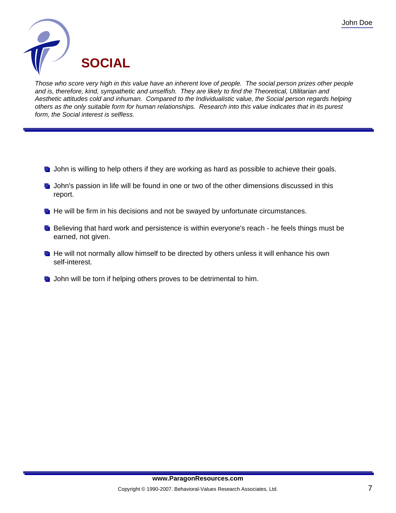

Those who score very high in this value have an inherent love of people. The social person prizes other people and is, therefore, kind, sympathetic and unselfish. They are likely to find the Theoretical, Utilitarian and Aesthetic attitudes cold and inhuman. Compared to the Individualistic value, the Social person regards helping others as the only suitable form for human relationships. Research into this value indicates that in its purest form, the Social interest is selfless.

- $\blacksquare$  John is willing to help others if they are working as hard as possible to achieve their goals.
- **J** John's passion in life will be found in one or two of the other dimensions discussed in this report.
- $\blacksquare$  He will be firm in his decisions and not be swayed by unfortunate circumstances.
- **B** Believing that hard work and persistence is within everyone's reach he feels things must be earned, not given.
- He will not normally allow himself to be directed by others unless it will enhance his own self-interest.
- **John will be torn if helping others proves to be detrimental to him.**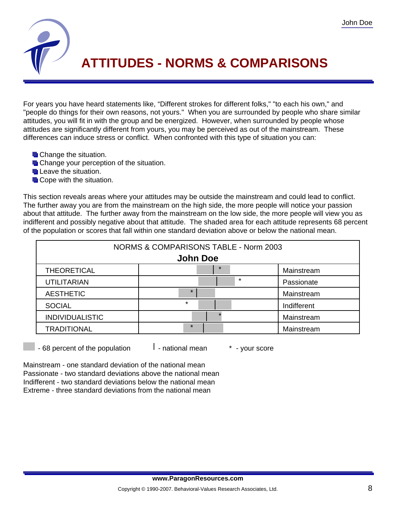

## **ATTITUDES - NORMS & COMPARISONS**

For years you have heard statements like, "Different strokes for different folks," "to each his own," and "people do things for their own reasons, not yours." When you are surrounded by people who share similar attitudes, you will fit in with the group and be energized. However, when surrounded by people whose attitudes are significantly different from yours, you may be perceived as out of the mainstream. These differences can induce stress or conflict. When confronted with this type of situation you can:

- **Change the situation.**
- **Change your perception of the situation.**
- **Leave the situation.**
- **L** Cope with the situation.

This section reveals areas where your attitudes may be outside the mainstream and could lead to conflict. The further away you are from the mainstream on the high side, the more people will notice your passion about that attitude. The further away from the mainstream on the low side, the more people will view you as indifferent and possibly negative about that attitude. The shaded area for each attitude represents 68 percent of the population or scores that fall within one standard deviation above or below the national mean.

| NORMS & COMPARISONS TABLE - Norm 2003 |         |             |  |
|---------------------------------------|---------|-------------|--|
| <b>John Doe</b>                       |         |             |  |
| <b>THEORETICAL</b>                    | $\star$ | Mainstream  |  |
| <b>UTILITARIAN</b>                    | $\star$ | Passionate  |  |
| <b>AESTHETIC</b>                      | $\star$ | Mainstream  |  |
| <b>SOCIAL</b>                         | $\star$ | Indifferent |  |
| <b>INDIVIDUALISTIC</b>                |         | Mainstream  |  |
| <b>TRADITIONAL</b>                    | $\star$ | Mainstream  |  |

 $-68$  percent of the population  $-1$  - national mean  $-1$  - your score

Mainstream - one standard deviation of the national mean Passionate - two standard deviations above the national mean Indifferent - two standard deviations below the national mean Extreme - three standard deviations from the national mean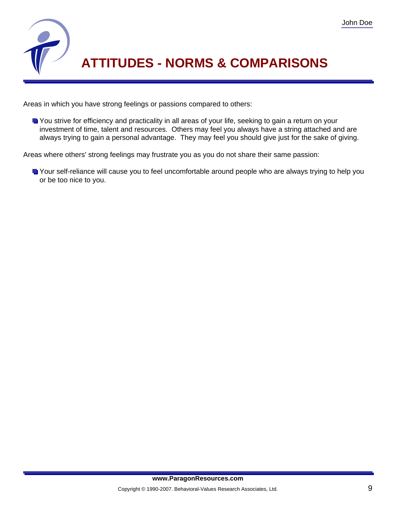

## **ATTITUDES - NORMS & COMPARISONS**

Areas in which you have strong feelings or passions compared to others:

You strive for efficiency and practicality in all areas of your life, seeking to gain a return on your investment of time, talent and resources. Others may feel you always have a string attached and are always trying to gain a personal advantage. They may feel you should give just for the sake of giving.

Areas where others' strong feelings may frustrate you as you do not share their same passion:

Your self-reliance will cause you to feel uncomfortable around people who are always trying to help you or be too nice to you.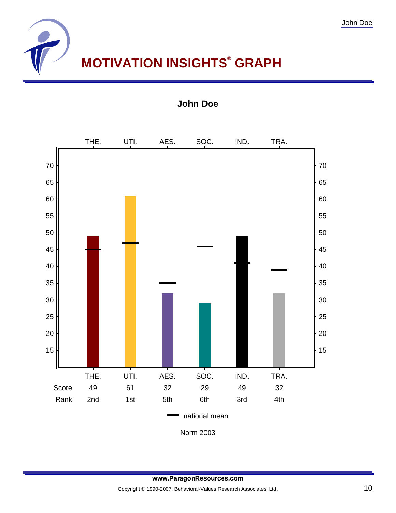